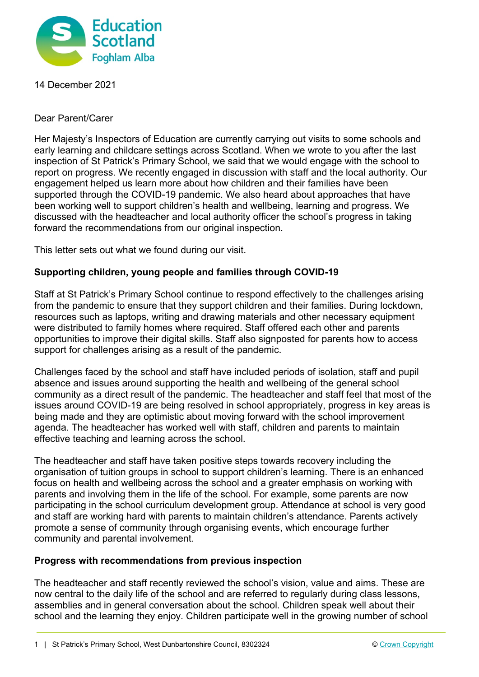

14 December 2021

Dear Parent/Carer

Her Majesty's Inspectors of Education are currently carrying out visits to some schools and early learning and childcare settings across Scotland. When we wrote to you after the last inspection of St Patrick's Primary School, we said that we would engage with the school to report on progress. We recently engaged in discussion with staff and the local authority. Our engagement helped us learn more about how children and their families have been supported through the COVID-19 pandemic. We also heard about approaches that have been working well to support children's health and wellbeing, learning and progress. We discussed with the headteacher and local authority officer the school's progress in taking forward the recommendations from our original inspection.

This letter sets out what we found during our visit.

## **Supporting children, young people and families through COVID-19**

Staff at St Patrick's Primary School continue to respond effectively to the challenges arising from the pandemic to ensure that they support children and their families. During lockdown, resources such as laptops, writing and drawing materials and other necessary equipment were distributed to family homes where required. Staff offered each other and parents opportunities to improve their digital skills. Staff also signposted for parents how to access support for challenges arising as a result of the pandemic.

Challenges faced by the school and staff have included periods of isolation, staff and pupil absence and issues around supporting the health and wellbeing of the general school community as a direct result of the pandemic. The headteacher and staff feel that most of the issues around COVID-19 are being resolved in school appropriately, progress in key areas is being made and they are optimistic about moving forward with the school improvement agenda. The headteacher has worked well with staff, children and parents to maintain effective teaching and learning across the school.

The headteacher and staff have taken positive steps towards recovery including the organisation of tuition groups in school to support children's learning. There is an enhanced focus on health and wellbeing across the school and a greater emphasis on working with parents and involving them in the life of the school. For example, some parents are now participating in the school curriculum development group. Attendance at school is very good and staff are working hard with parents to maintain children's attendance. Parents actively promote a sense of community through organising events, which encourage further community and parental involvement.

## **Progress with recommendations from previous inspection**

The headteacher and staff recently reviewed the school's vision, value and aims. These are now central to the daily life of the school and are referred to regularly during class lessons, assemblies and in general conversation about the school. Children speak well about their school and the learning they enjoy. Children participate well in the growing number of school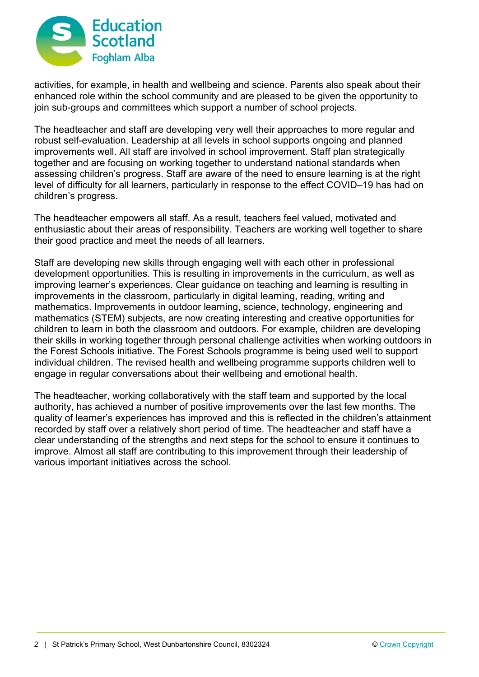

activities, for example, in health and wellbeing and science. Parents also speak about their enhanced role within the school community and are pleased to be given the opportunity to join sub-groups and committees which support a number of school projects.

The headteacher and staff are developing very well their approaches to more regular and robust self-evaluation. Leadership at all levels in school supports ongoing and planned improvements well. All staff are involved in school improvement. Staff plan strategically together and are focusing on working together to understand national standards when assessing children's progress. Staff are aware of the need to ensure learning is at the right level of difficulty for all learners, particularly in response to the effect COVID–19 has had on children's progress.

The headteacher empowers all staff. As a result, teachers feel valued, motivated and enthusiastic about their areas of responsibility. Teachers are working well together to share their good practice and meet the needs of all learners.

Staff are developing new skills through engaging well with each other in professional development opportunities. This is resulting in improvements in the curriculum, as well as improving learner's experiences. Clear guidance on teaching and learning is resulting in improvements in the classroom, particularly in digital learning, reading, writing and mathematics. Improvements in outdoor learning, science, technology, engineering and mathematics (STEM) subjects, are now creating interesting and creative opportunities for children to learn in both the classroom and outdoors. For example, children are developing their skills in working together through personal challenge activities when working outdoors in the Forest Schools initiative. The Forest Schools programme is being used well to support individual children. The revised health and wellbeing programme supports children well to engage in regular conversations about their wellbeing and emotional health.

The headteacher, working collaboratively with the staff team and supported by the local authority, has achieved a number of positive improvements over the last few months. The quality of learner's experiences has improved and this is reflected in the children's attainment recorded by staff over a relatively short period of time. The headteacher and staff have a clear understanding of the strengths and next steps for the school to ensure it continues to improve. Almost all staff are contributing to this improvement through their leadership of various important initiatives across the school.